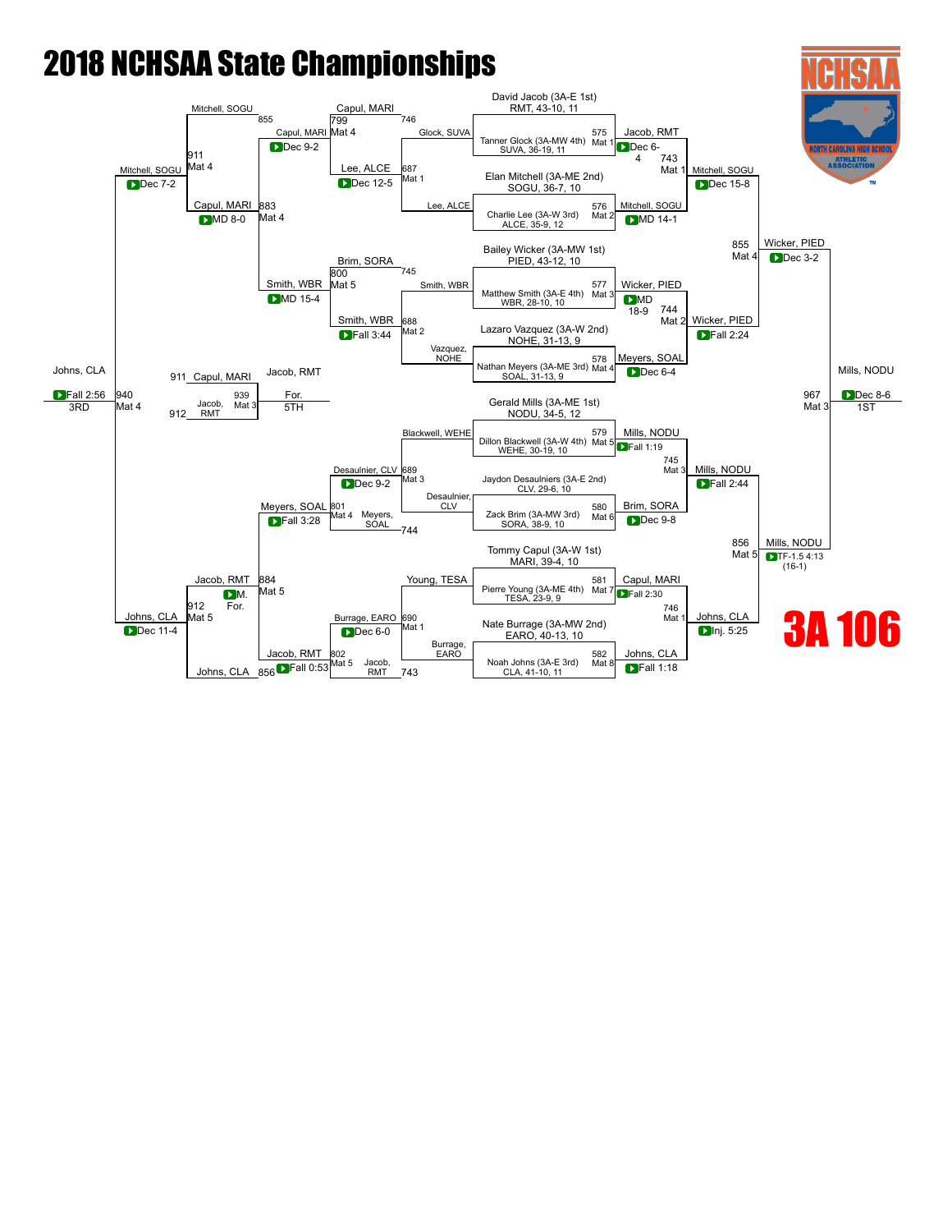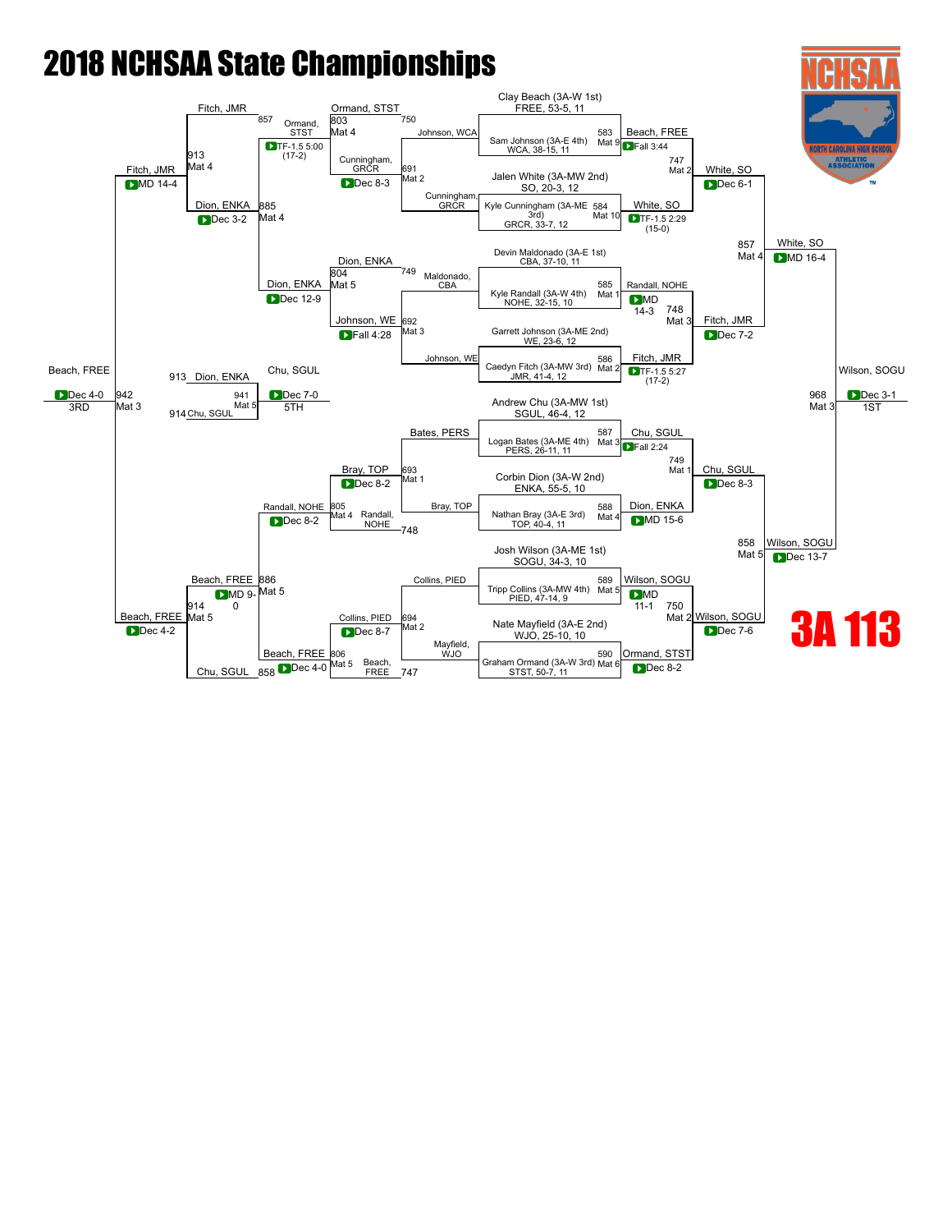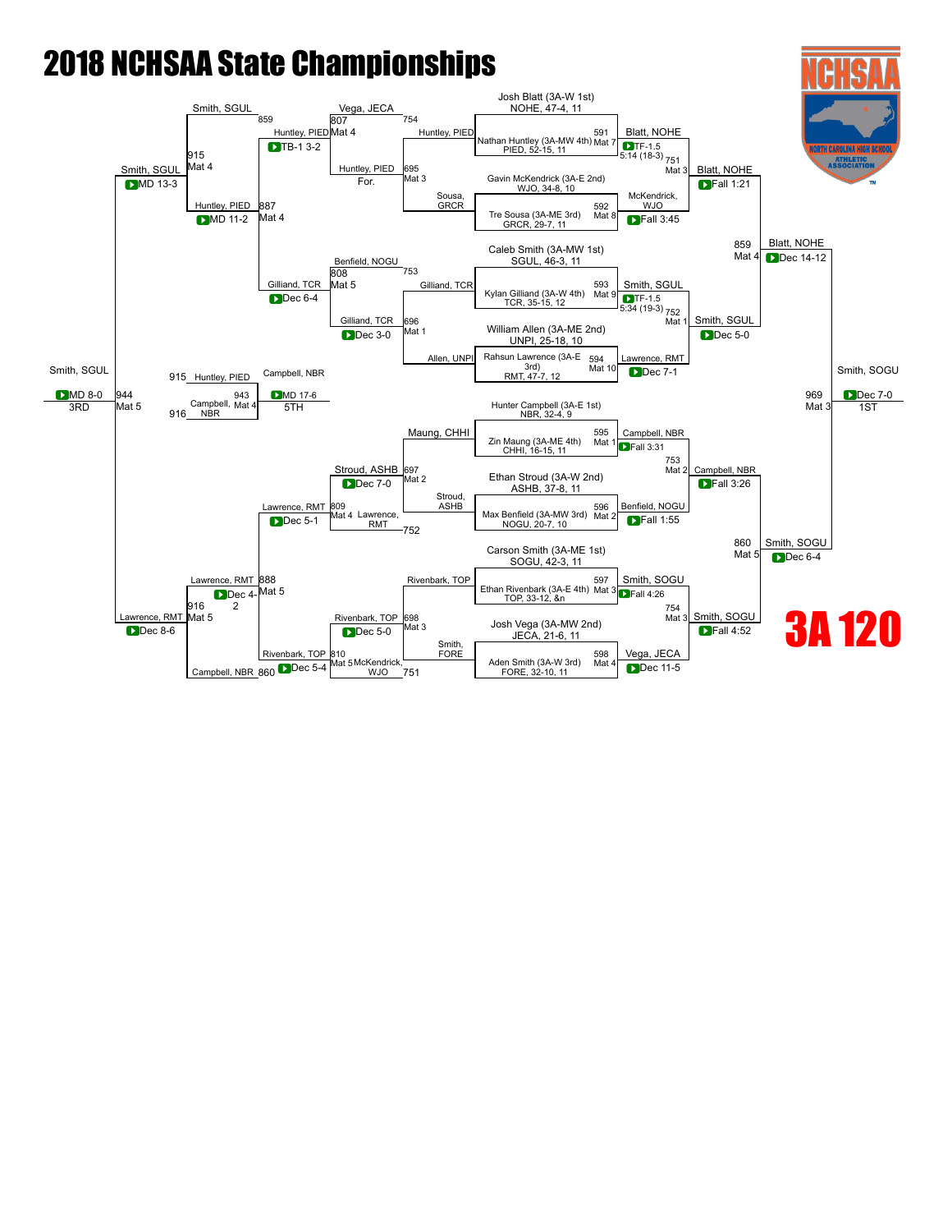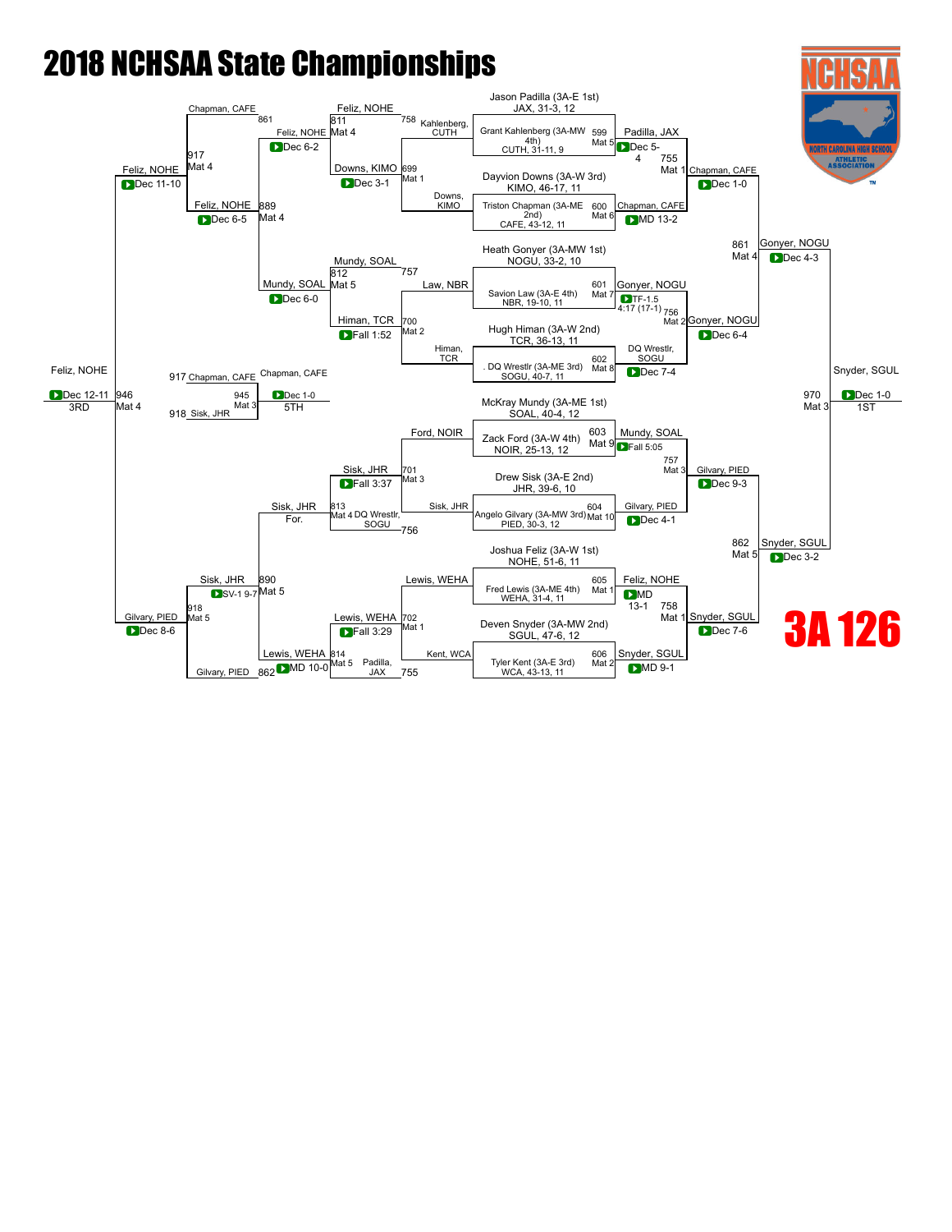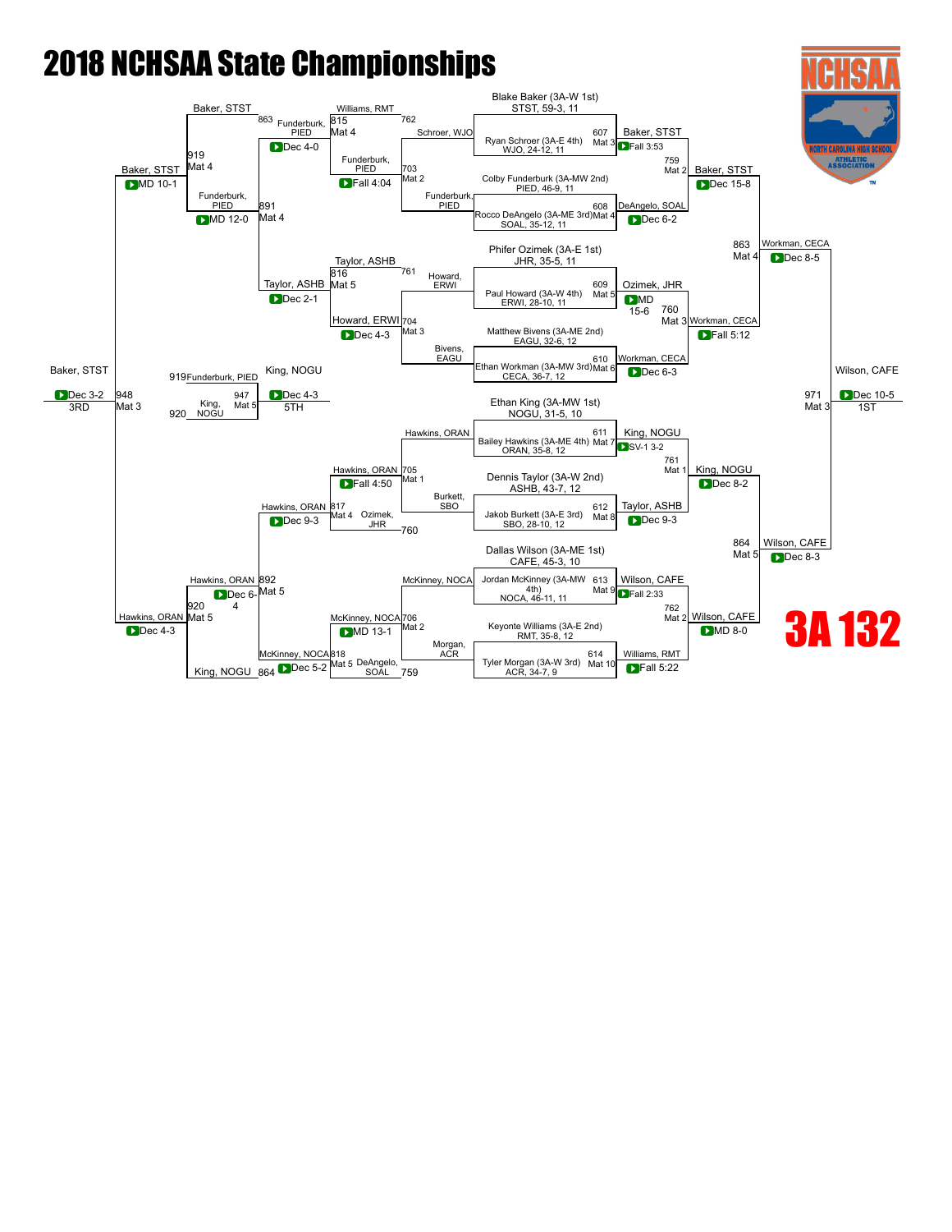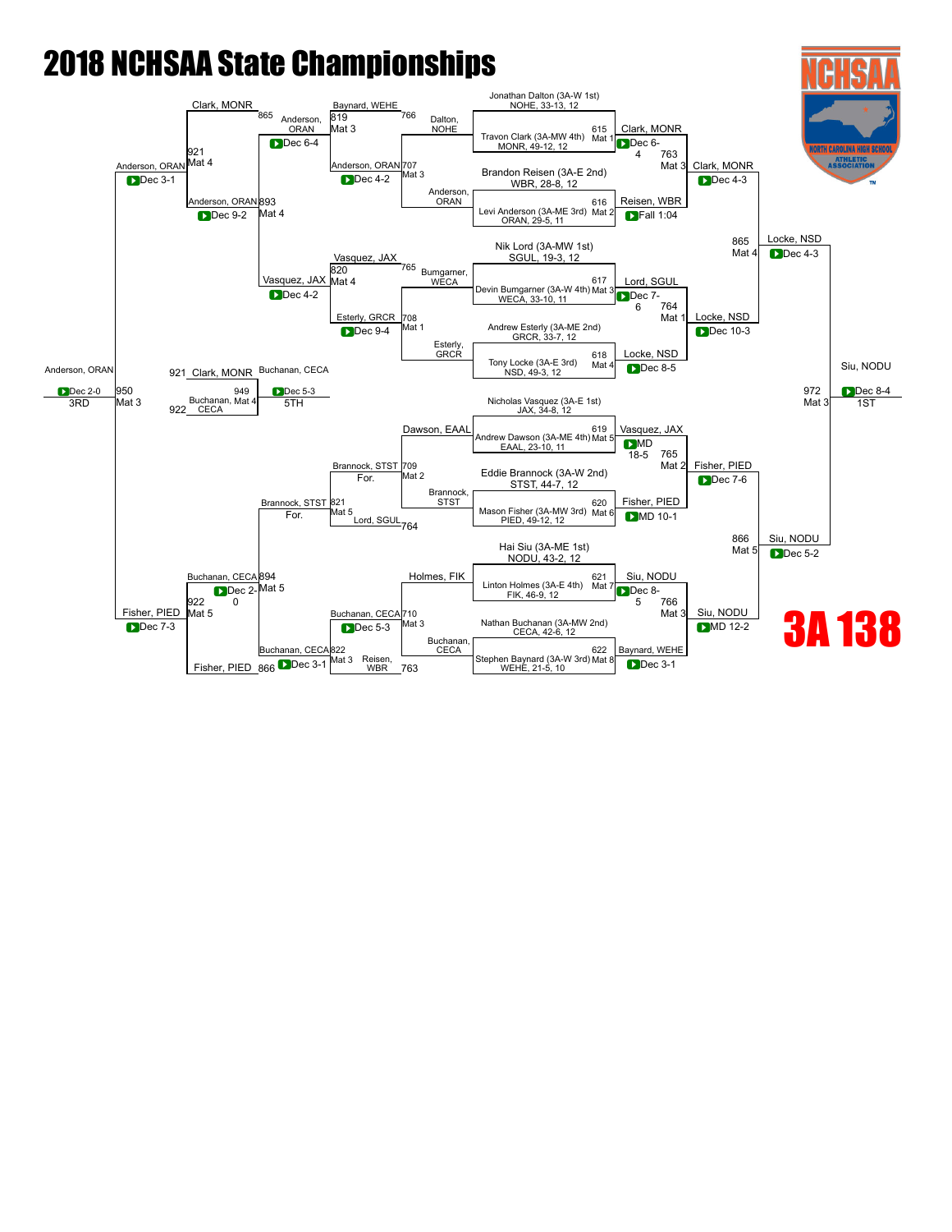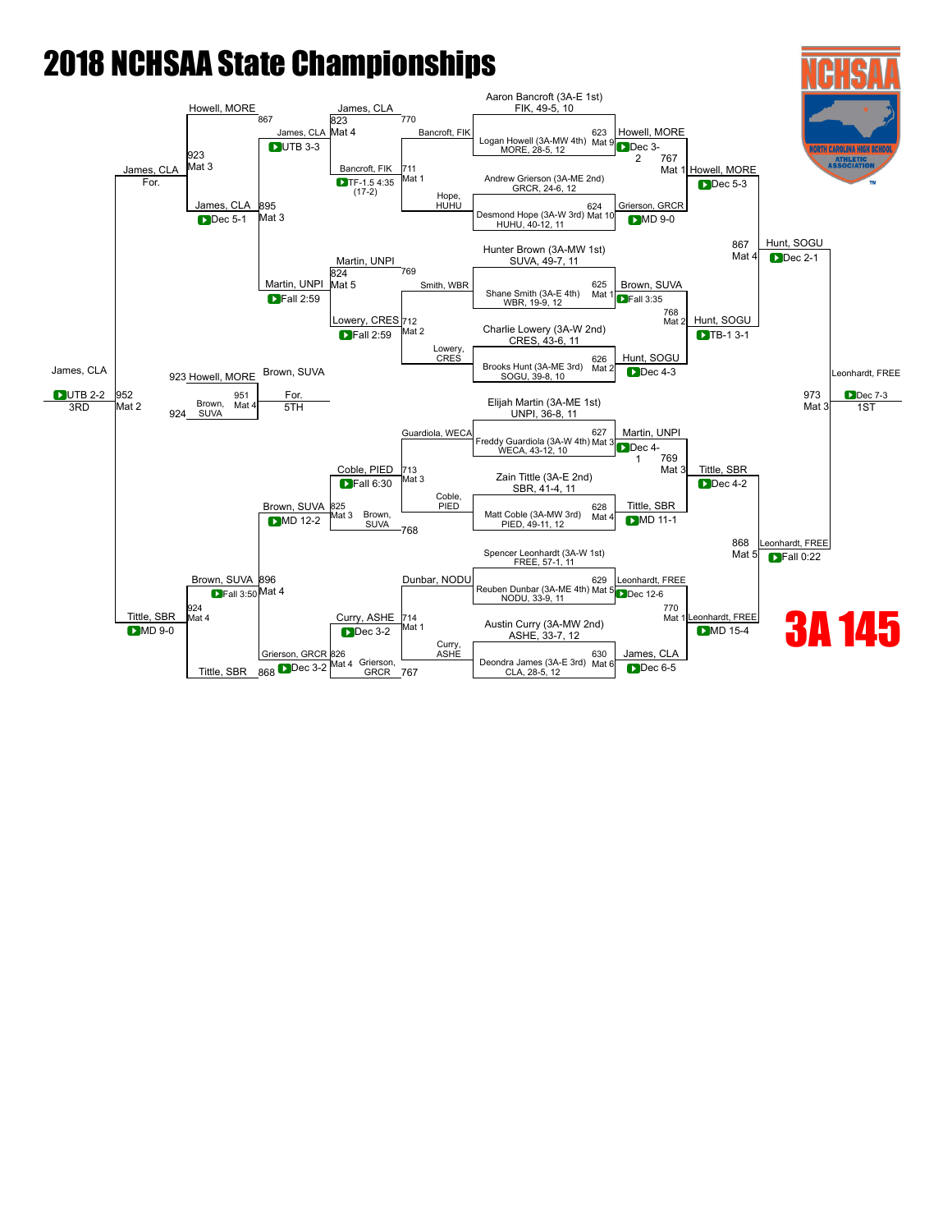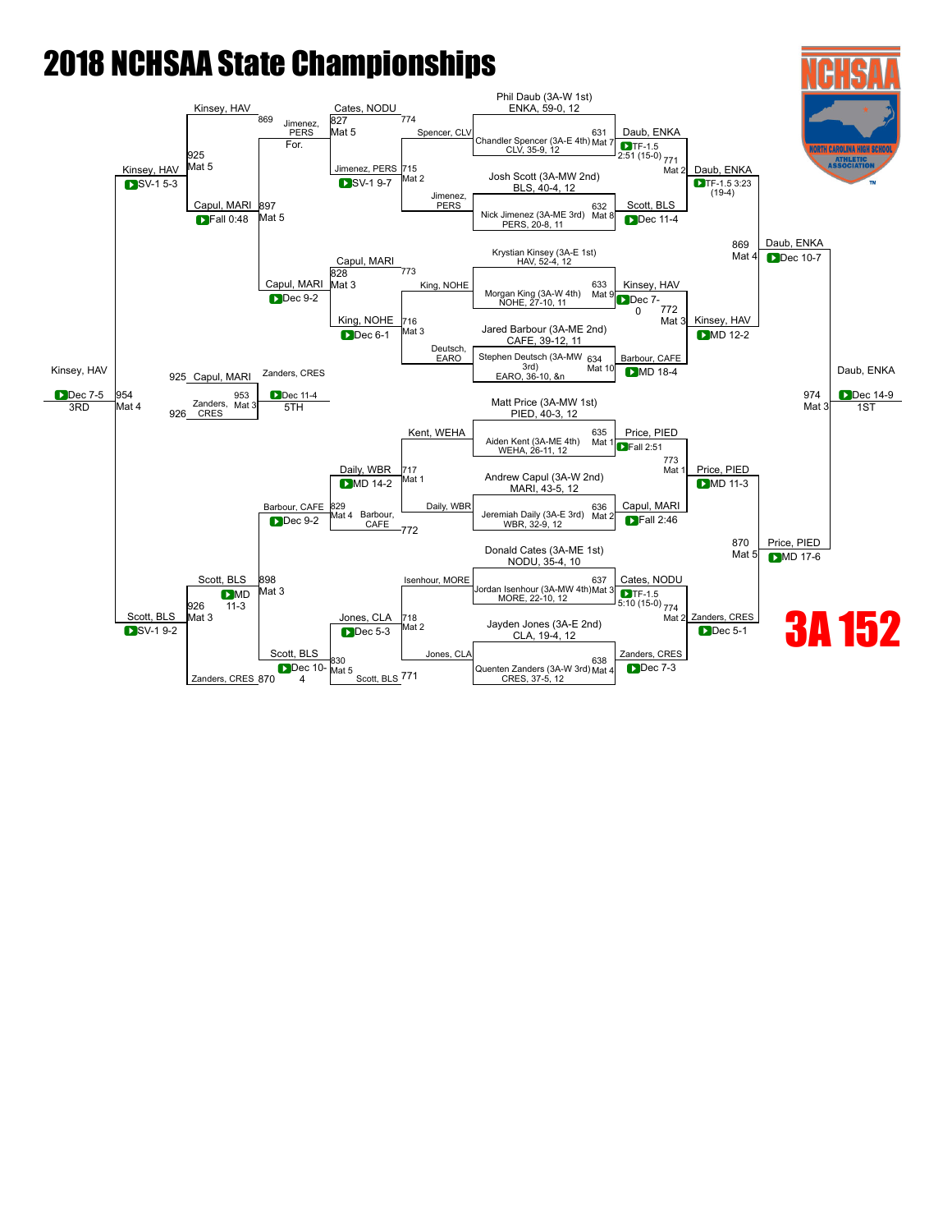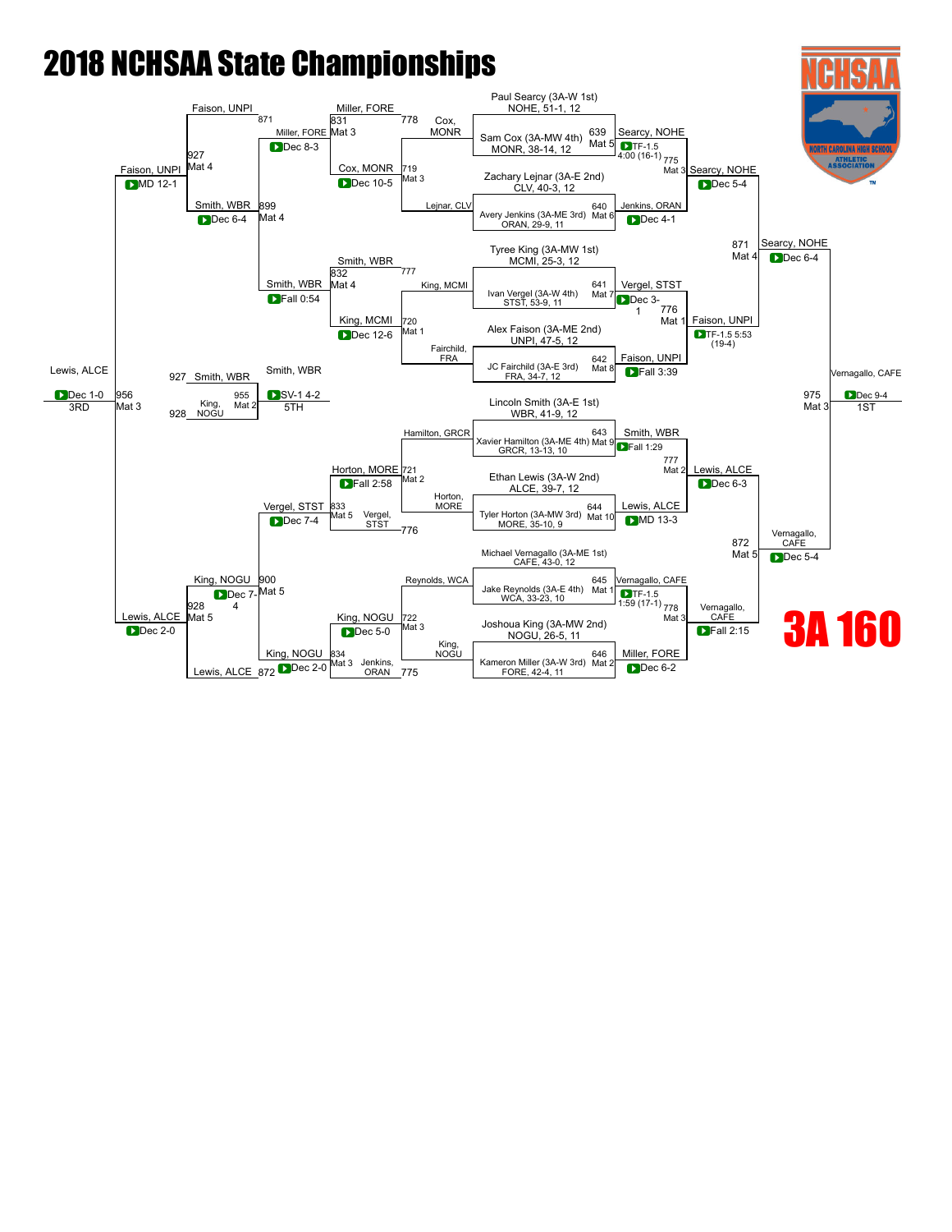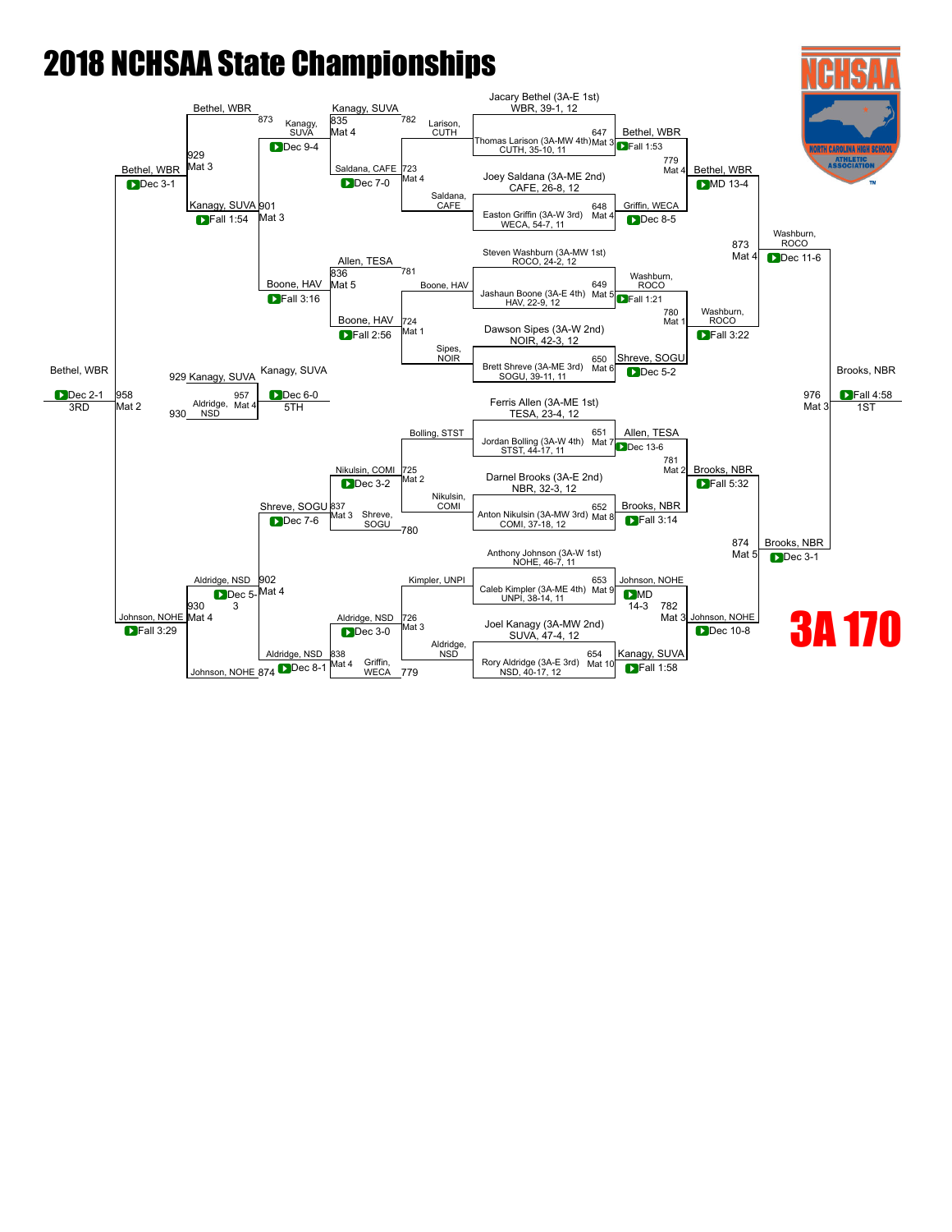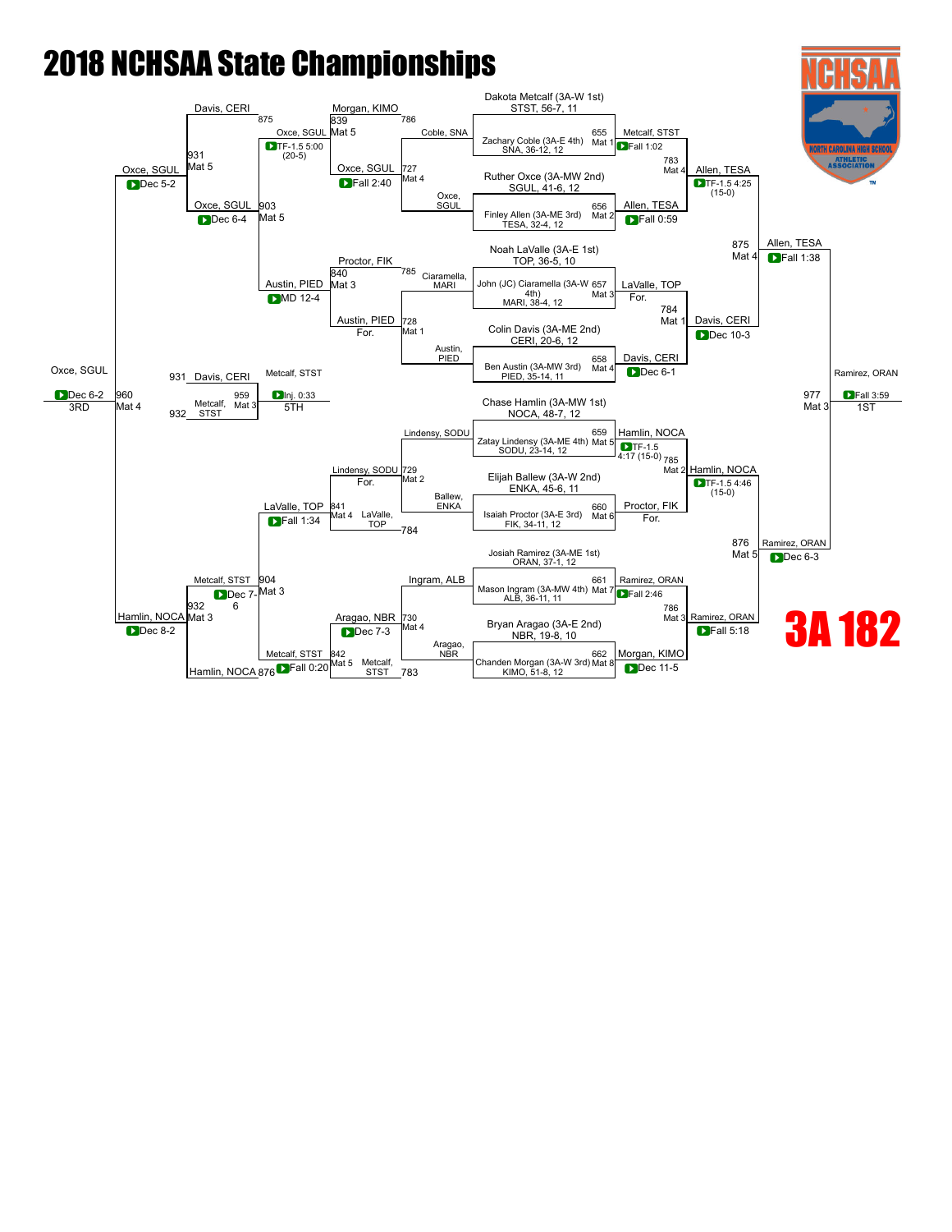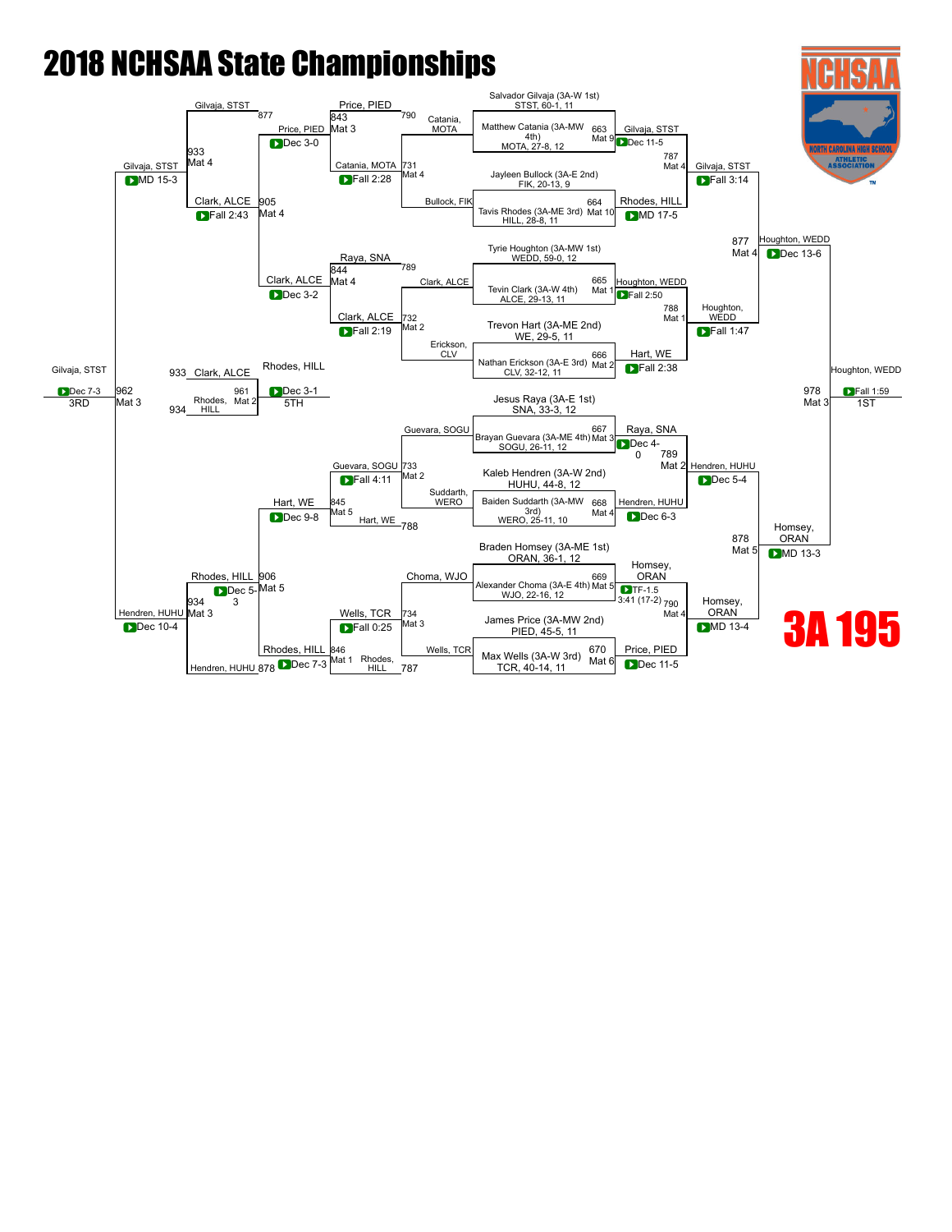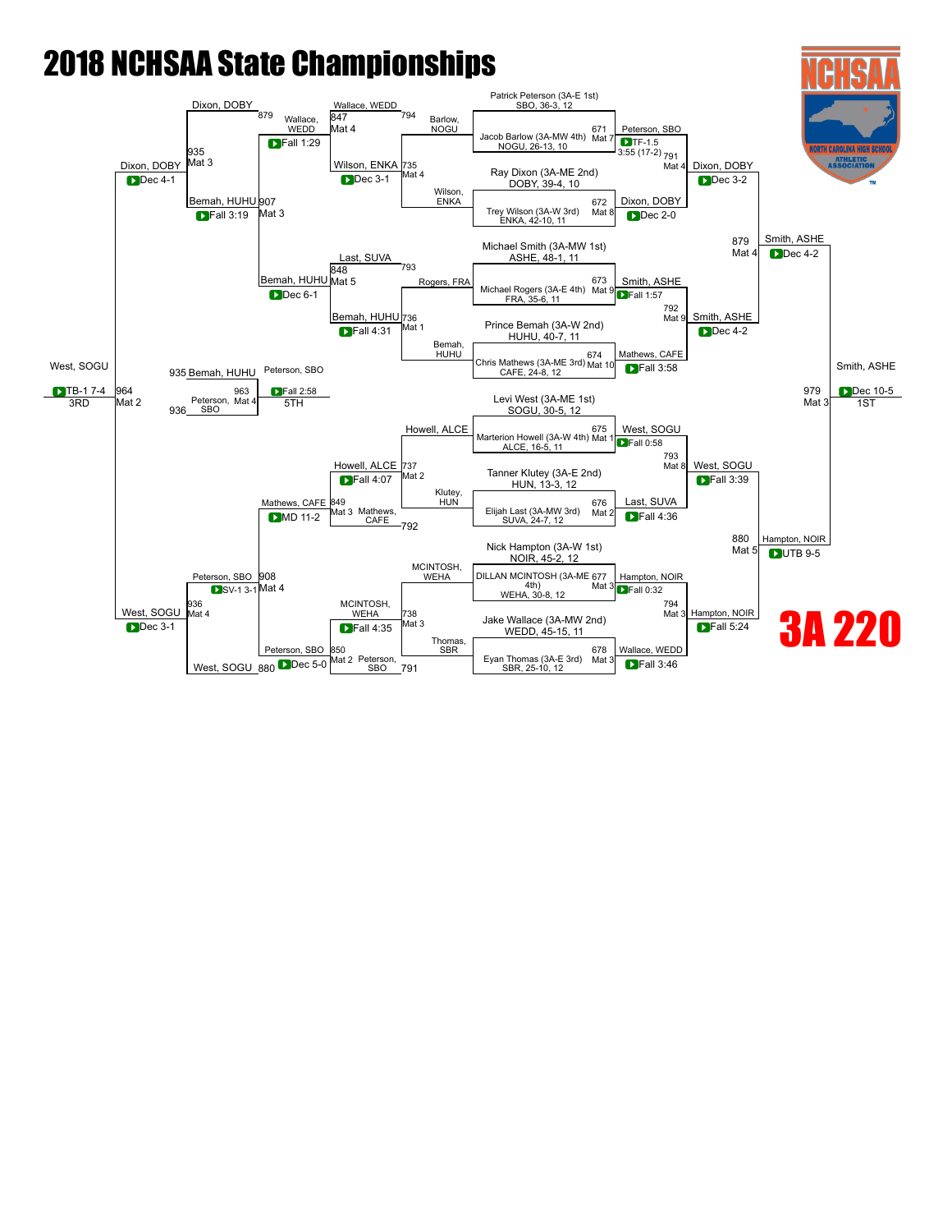